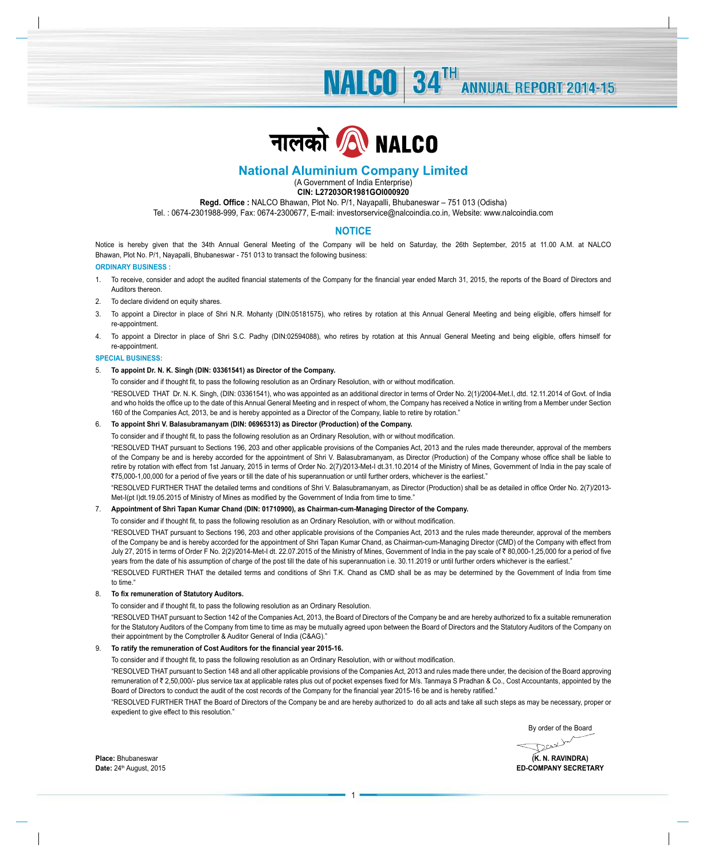**NALCO** 34<sup>TH</sup> ANNUAL REPORT 2014-15



# **National Aluminium Company Limited**

(A Government of India Enterprise) **CIN: L27203OR1981GOI000920**

# **Regd. Office :** NALCO Bhawan, Plot No. P/1, Nayapalli, Bhubaneswar – 751 013 (Odisha)

Tel. : 0674-2301988-999, Fax: 0674-2300677, E-mail: investorservice@nalcoindia.co.in, Website: www.nalcoindia.com

# **NOTICE**

Notice is hereby given that the 34th Annual General Meeting of the Company will be held on Saturday, the 26th September, 2015 at 11.00 A.M. at NALCO Bhawan, Plot No. P/1, Nayapalli, Bhubaneswar - 751 013 to transact the following business:

**ORDINARY BUSINESS :**

- 1. To receive, consider and adopt the audited financial statements of the Company for the financial year ended March 31, 2015, the reports of the Board of Directors and Auditors thereon.
- 2. To declare dividend on equity shares.
- 3. To appoint a Director in place of Shri N.R. Mohanty (DIN:05181575), who retires by rotation at this Annual General Meeting and being eligible, offers himself for re-appointment.
- 4. To appoint a Director in place of Shri S.C. Padhy (DIN:02594088), who retires by rotation at this Annual General Meeting and being eligible, offers himself for re-appointment.

#### **SPECIAL BUSINESS:**

## 5. **To appoint Dr. N. K. Singh (DIN: 03361541) as Director of the Company.**

 To consider and if thought fit, to pass the following resolution as an Ordinary Resolution, with or without modification.

 "RESOLVED THAT Dr. N. K. Singh, (DIN: 03361541), who was appointed as an additional director in terms of Order No. 2(1)/2004-Met.I, dtd. 12.11.2014 of Govt. of India and who holds the office up to the date of this Annual General Meeting and in respect of whom, the Company has received a Notice in writing from a Member under Section 160 of the Companies Act, 2013, be and is hereby appointed as a Director of the Company, liable to retire by rotation."

### 6. **To appoint Shri V. Balasubramanyam (DIN: 06965313) as Director (Production) of the Company.**

 To consider and if thought fit, to pass the following resolution as an Ordinary Resolution, with or without modification.

 "RESOLVED THAT pursuant to Sections 196, 203 and other applicable provisions of the Companies Act, 2013 and the rules made thereunder, approval of the members of the Company be and is hereby accorded for the appointment of Shri V. Balasubramanyam, as Director (Production) of the Company whose office shall be liable to retire by rotation with effect from 1st January, 2015 in terms of Order No. 2(7)/2013-Met-I dt.31.10.2014 of the Ministry of Mines, Government of India in the pay scale of `75,000-1,00,000 for a period of five years or till the date of his superannuation or until further orders, whichever is the earliest."

 "RESOLVED FURTHER THAT the detailed terms and conditions of Shri V. Balasubramanyam, as Director (Production) shall be as detailed in office Order No. 2(7)/2013- Met-I(pt I)dt.19.05.2015 of Ministry of Mines as modified by the Government of India from time to time."

### 7. **Appointment of Shri Tapan Kumar Chand (DIN: 01710900), as Chairman-cum-Managing Director of the Company.**

 To consider and if thought fit, to pass the following resolution as an Ordinary Resolution, with or without modification.

 "RESOLVED THAT pursuant to Sections 196, 203 and other applicable provisions of the Companies Act, 2013 and the rules made thereunder, approval of the members of the Company be and is hereby accorded for the appointment of Shri Tapan Kumar Chand, as Chairman-cum-Managing Director (CMD) of the Company with effect from July 27, 2015 in terms of Order F No. 2(2)/2014-Met-I dt. 22.07.2015 of the Ministry of Mines, Government of India in the pay scale of ₹80,000-1,25,000 for a period of five years from the date of his assumption of charge of the post till the date of his superannuation i.e. 30.11.2019 or until further orders whichever is the earliest."

 "RESOLVED FURTHER THAT the detailed terms and conditions of Shri T.K. Chand as CMD shall be as may be determined by the Government of India from time to time."

### 8. **To fix remuneration of Statutory Auditors.**

 To consider and if thought fit, to pass the following resolution as an Ordinary Resolution.

"RESOLVED THAT pursuant to Section 142 of the Companies Act, 2013, the Board of Directors of the Company be and are hereby authorized to fix a suitable remuneration for the Statutory Auditors of the Company from time to time as may be mutually agreed upon between the Board of Directors and the Statutory Auditors of the Company on their appointment by the Comptroller & Auditor General of India (C&AG)."

### 9. **To ratify the remuneration of Cost Auditors for the financial year 2015-16.**

 To consider and if thought fit, to pass the following resolution as an Ordinary Resolution, with or without modification.

 "RESOLVED THAT pursuant to Section 148 and all other applicable provisions of the Companies Act, 2013 and rules made there under, the decision of the Board approving remuneration of ₹ 2,50,000/- plus service tax at applicable rates plus out of pocket expenses fixed for M/s. Tanmaya S Pradhan & Co., Cost Accountants, appointed by the Board of Directors to conduct the audit of the cost records of the Company for the financial year 2015-16 be and is hereby ratified."

 "RESOLVED FURTHER THAT the Board of Directors of the Company be and are hereby authorized to do all acts and take all such steps as may be necessary, proper or expedient to give effect to this resolution."

By order of the Board

Dearby

**Place:** Bhubaneswar **(K. N. RAVINDRA) Date: 24th August, 2015 ED-COMPANY SECRETARY**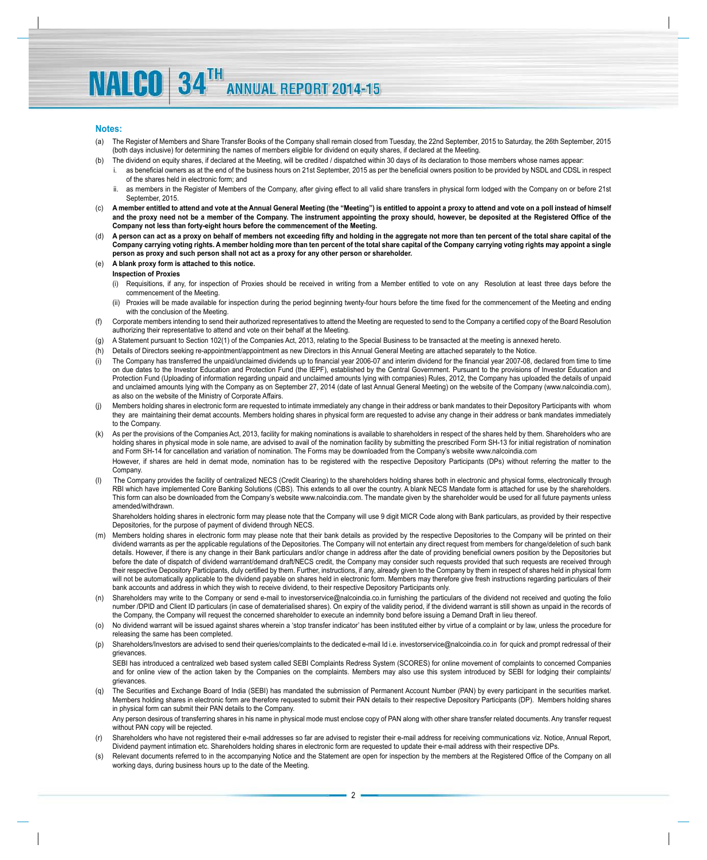## **Notes:**

- (a) The Register of Members and Share Transfer Books of the Company shall remain closed from Tuesday, the 22nd September, 2015 to Saturday, the 26th September, 2015 (both days inclusive) for determining the names of members eligible for dividend on equity shares, if declared at the Meeting.
- (b) The dividend on equity shares, if declared at the Meeting, will be credited / dispatched within 30 days of its declaration to those members whose names appear:
	- as beneficial owners as at the end of the business hours on 21st September, 2015 as per the beneficial owners position to be provided by NSDL and CDSL in respect of the shares held in electronic form; and
	- ii. as members in the Register of Members of the Company, after giving effect to all valid share transfers in physical form lodged with the Company on or before 21st September, 2015.
- (c) **A member entitled to attend and vote at the Annual General Meeting (the "Meeting") is entitled to appoint a proxy to attend and vote on a poll instead of himself and the proxy need not be a member of the Company. The instrument appointing the proxy should, however, be deposited at the Registered Office of the Company not less than forty-eight hours before the commencement of the Meeting.**
- (d) **A person can act as a proxy on behalf of members not exceeding fifty and holding in the aggregate not more than ten percent of the total share capital of the Company carrying voting rights. A member holding more than ten percent of the total share capital of the Company carrying voting rights may appoint a single person as proxy and such person shall not act as a proxy for any other person or shareholder.**
- (e) **A blank proxy form is attached to this notice.**

# **Inspection of Proxies**

**NALCO** 34TH

- (i) Requisitions, if any, for inspection of Proxies should be received in writing from a Member entitled to vote on any Resolution at least three days before the commencement of the Meeting.
- (ii) Proxies will be made available for inspection during the period beginning twenty-four hours before the time fixed for the commencement of the Meeting and ending with the conclusion of the Meeting.
- (f) Corporate members intending to send their authorized representatives to attend the Meeting are requested to send to the Company a certified copy of the Board Resolution authorizing their representative to attend and vote on their behalf at the Meeting.
- (g) A Statement pursuant to Section 102(1) of the Companies Act, 2013, relating to the Special Business to be transacted at the meeting is annexed hereto.
- (h) Details of Directors seeking re-appointment/appointment as new Directors in this Annual General Meeting are attached separately to the Notice.
- (i) The Company has transferred the unpaid/unclaimed dividends up to financial year 2006-07 and interim dividend for the financial year 2007-08, declared from time to time on due dates to the Investor Education and Protection Fund (the IEPF), established by the Central Government. Pursuant to the provisions of Investor Education and Protection Fund (Uploading of information regarding unpaid and unclaimed amounts lying with companies) Rules, 2012, the Company has uploaded the details of unpaid and unclaimed amounts lying with the Company as on September 27, 2014 (date of last Annual General Meeting) on the website of the Company (www.nalcoindia.com), as also on the website of the Ministry of Corporate Affairs.
- (j) Members holding shares in electronic form are requested to intimate immediately any change in their address or bank mandates to their Depository Participants with whom they are maintaining their demat accounts. Members holding shares in physical form are requested to advise any change in their address or bank mandates immediately to the Company.
- (k) As per the provisions of the Companies Act, 2013, facility for making nominations is available to shareholders in respect of the shares held by them. Shareholders who are holding shares in physical mode in sole name, are advised to avail of the nomination facility by submitting the prescribed Form SH-13 for initial registration of nomination and Form SH-14 for cancellation and variation of nomination. The Forms may be downloaded from the Company's website www.nalcoindia.com However, if shares are held in demat mode, nomination has to be registered with the respective Depository Participants (DPs) without referring the matter to the Company
- (I) The Company provides the facility of centralized NECS (Credit Clearing) to the shareholders holding shares both in electronic and physical forms, electronically through RBI which have implemented Core Banking Solutions (CBS). This extends to all over the country. A blank NECS Mandate form is attached for use by the shareholders. This form can also be downloaded from the Company's website www.nalcoindia.com. The mandate given by the shareholder would be used for all future payments unless amended/withdrawn.

 Shareholders holding shares in electronic form may please note that the Company will use 9 digit MICR Code along with Bank particulars, as provided by their respective Depositories, for the purpose of payment of dividend through NECS.

- (m) Members holding shares in electronic form may please note that their bank details as provided by the respective Depositories to the Company will be printed on their dividend warrants as per the applicable regulations of the Depositories. The Company will not entertain any direct request from members for change/deletion of such bank details. However, if there is any change in their Bank particulars and/or change in address after the date of providing beneficial owners position by the Depositories but before the date of dispatch of dividend warrant/demand draft/NECS credit, the Company may consider such requests provided that such requests are received through their respective Depository Participants, duly certified by them. Further, instructions, if any, already given to the Company by them in respect of shares held in physical form will not be automatically applicable to the dividend payable on shares held in electronic form. Members may therefore give fresh instructions regarding particulars of their bank accounts and address in which they wish to receive dividend, to their respective Depository Participants only.
- (n) Shareholders may write to the Company or send e-mail to investorservice@nalcoindia.co.in furnishing the particulars of the dividend not received and quoting the folio number /DPID and Client ID particulars (in case of dematerialised shares). On expiry of the validity period, if the dividend warrant is still shown as unpaid in the records of the Company, the Company will request the concerned shareholder to execute an indemnity bond before issuing a Demand Draft in lieu thereof.
- (o) No dividend warrant will be issued against shares wherein a 'stop transfer indicator' has been instituted either by virtue of a complaint or by law, unless the procedure for releasing the same has been completed.
- (p) Shareholders/Investors are advised to send their queries/complaints to the dedicated e-mail Id i.e. investorservice@nalcoindia.co.in for quick and prompt redressal of their grievances.

 SEBI has introduced a centralized web based system called SEBI Complaints Redress System (SCORES) for online movement of complaints to concerned Companies and for online view of the action taken by the Companies on the complaints. Members may also use this system introduced by SEBI for lodging their complaints/ grievances.

(q) The Securities and Exchange Board of India (SEBI) has mandated the submission of Permanent Account Number (PAN) by every participant in the securities market. Members holding shares in electronic form are therefore requested to submit their PAN details to their respective Depository Participants (DP). Members holding shares in physical form can submit their PAN details to the Company.

Any person desirous of transferring shares in his name in physical mode must enclose copy of PAN along with other share transfer related documents. Any transfer request without PAN copy will be rejected.

- (r) Shareholders who have not registered their e-mail addresses so far are advised to register their e-mail address for receiving communications viz. Notice, Annual Report, Dividend payment intimation etc. Shareholders holding shares in electronic form are requested to update their e-mail address with their respective DPs.
- (s) Relevant documents referred to in the accompanying Notice and the Statement are open for inspection by the members at the Registered Office of the Company on all working days, during business hours up to the date of the Meeting.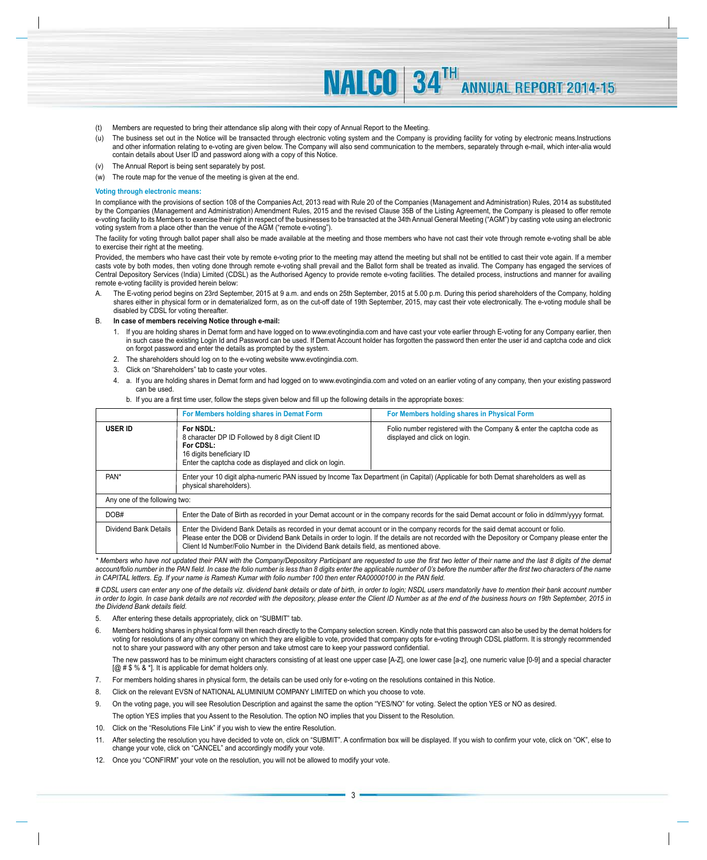- (t) Members are requested to bring their attendance slip along with their copy of Annual Report to the Meeting.
- (u) The business set out in the Notice will be transacted through electronic voting system and the Company is providing facility for voting by electronic means.Instructions and other information relating to e-voting are given below. The Company will also send communication to the members, separately through e-mail, which inter-alia would contain details about User ID and password along with a copy of this Notice.

**NALCO** 34TH

**ANNUAL REPORT 2014-15** 

- (v) The Annual Report is being sent separately by post.
- (w) The route map for the venue of the meeting is given at the end.

#### **Voting through electronic means:**

In compliance with the provisions of section 108 of the Companies Act, 2013 read with Rule 20 of the Companies (Management and Administration) Rules, 2014 as substituted by the Companies (Management and Administration) Amendment Rules, 2015 and the revised Clause 35B of the Listing Agreement, the Company is pleased to offer remote e-voting facility to its Members to exercise their right in respect of the businesses to be transacted at the 34th Annual General Meeting ("AGM") by casting vote using an electronic voting system from a place other than the venue of the AGM ("remote e-voting").

The facility for voting through ballot paper shall also be made available at the meeting and those members who have not cast their vote through remote e-voting shall be able to exercise their right at the meeting.

Provided, the members who have cast their vote by remote e-voting prior to the meeting may attend the meeting but shall not be entitled to cast their vote again. If a member casts vote by both modes, then voting done through remote e-voting shall prevail and the Ballot form shall be treated as invalid. The Company has engaged the services of Central Depository Services (India) Limited (CDSL) as the Authorised Agency to provide remote e-voting facilities. The detailed process, instructions and manner for availing remote e-voting facility is provided herein below:

The E-voting period begins on 23rd September, 2015 at 9 a.m. and ends on 25th September, 2015 at 5.00 p.m. During this period shareholders of the Company, holding shares either in physical form or in dematerialized form, as on the cut-off date of 19th September, 2015, may cast their vote electronically. The e-voting module shall be disabled by CDSL for voting thereafter.

### B. **In case of members receiving Notice through e-mail:**

- 1. If vou are holding shares in Demat form and have logged on to www.evotingindia.com and have cast your vote earlier through E-voting for any Company earlier, then in such case the existing Login Id and Password can be used. If Demat Account holder has forgotten the password then enter the user id and captcha code and click on forgot password and enter the details as prompted by the system.
- 2. The shareholders should log on to the e-voting website www.evotingindia.com.
- 3. Click on "Shareholders" tab to caste your votes.
- 4. a. If you are holding shares in Demat form and had logged on to www.evotingindia.com and voted on an earlier voting of any company, then your existing password can be used.
	- b. If you are a first time user, follow the steps given below and fill up the following details in the appropriate boxes:

|                               | For Members holding shares in Demat Form                                                                                                                                                                                                                                                                                                                                      | For Members holding shares in Physical Form                                                           |  |
|-------------------------------|-------------------------------------------------------------------------------------------------------------------------------------------------------------------------------------------------------------------------------------------------------------------------------------------------------------------------------------------------------------------------------|-------------------------------------------------------------------------------------------------------|--|
| <b>USER ID</b>                | For NSDL:<br>8 character DP ID Followed by 8 digit Client ID<br>For CDSL:<br>16 digits beneficiary ID<br>Enter the captcha code as displayed and click on login.                                                                                                                                                                                                              | Folio number registered with the Company & enter the captcha code as<br>displayed and click on login. |  |
| PAN*                          | Enter your 10 digit alpha-numeric PAN issued by Income Tax Department (in Capital) (Applicable for both Demat shareholders as well as<br>physical shareholders).                                                                                                                                                                                                              |                                                                                                       |  |
| Any one of the following two: |                                                                                                                                                                                                                                                                                                                                                                               |                                                                                                       |  |
| DOB#                          | Enter the Date of Birth as recorded in your Demat account or in the company records for the said Demat account or folio in dd/mm/yyyy format.                                                                                                                                                                                                                                 |                                                                                                       |  |
| Dividend Bank Details         | Enter the Dividend Bank Details as recorded in your demat account or in the company records for the said demat account or folio.<br>Please enter the DOB or Dividend Bank Details in order to login. If the details are not recorded with the Depository or Company please enter the<br>Client Id Number/Folio Number in the Dividend Bank details field, as mentioned above. |                                                                                                       |  |

*\* Members who have not updated their PAN with the Company/Depository Participant are requested to use the first two letter of their name and the last 8 digits of the demat*  account/folio number in the PAN field. In case the folio number is less than 8 digits enter the applicable number of 0's before the number after the first two characters of the name *in CAPITAL letters. Eg. If your name is Ramesh Kumar with folio number 100 then enter RA00000100 in the PAN field.*

*# CDSL users can enter any one of the details viz. dividend bank details or date of birth, in order to login; NSDL users mandatorily have to mention their bank account number*  in order to login. In case bank details are not recorded with the depository, please enter the Client ID Number as at the end of the business hours on 19th September, 2015 in *the Dividend Bank details field.*

- 5. After entering these details appropriately, click on "SUBMIT" tab.
- 6. Members holding shares in physical form will then reach directly to the Company selection screen. Kindly note that this password can also be used by the demat holders for voting for resolutions of any other company on which they are eligible to vote, provided that company opts for e-voting through CDSL platform. It is strongly recommended not to share your password with any other person and take utmost care to keep your password confidential.

 The new password has to be minimum eight characters consisting of at least one upper case [A-Z], one lower case [a-z], one numeric value [0-9] and a special character [@ # \$ % & \*]. It is applicable for demat holders only.

- 7. For members holding shares in physical form, the details can be used only for e-voting on the resolutions contained in this Notice.
- 8. Click on the relevant EVSN of NATIONAL ALUMINIUM COMPANY LIMITED on which you choose to vote.
- 9. On the voting page, you will see Resolution Description and against the same the option "YES/NO" for voting. Select the option YES or NO as desired. The option YES implies that you Assent to the Resolution. The option NO implies that you Dissent to the Resolution.
- 10. Click on the "Resolutions File Link" if you wish to view the entire Resolution.
- 11. After selecting the resolution you have decided to vote on, click on "SUBMIT". A confirmation box will be displayed. If you wish to confirm your vote, click on "OK", else to change your vote, click on "CANCEL" and accordingly modify your vote.
- 12. Once you "CONFIRM" your vote on the resolution, you will not be allowed to modify your vote.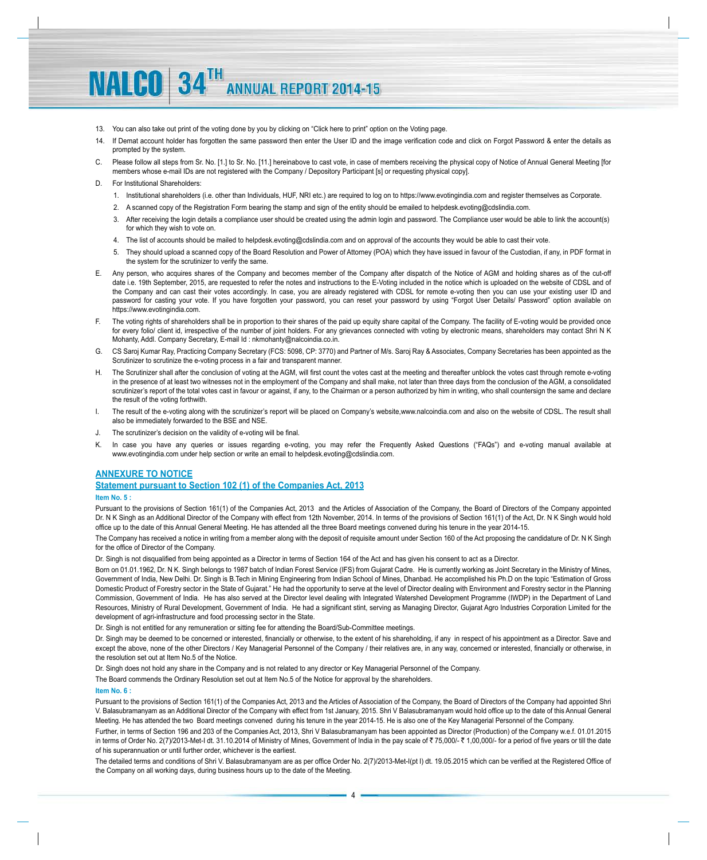13. You can also take out print of the voting done by you by clicking on "Click here to print" option on the Voting page.

**ANNUAL REPORT 2014-15** 

- 14. If Demat account holder has forgotten the same password then enter the User ID and the image verification code and click on Forgot Password & enter the details as prompted by the system.
- C. Please follow all steps from Sr. No. [1.] to Sr. No. [11.] hereinabove to cast vote, in case of members receiving the physical copy of Notice of Annual General Meeting [for members whose e-mail IDs are not registered with the Company / Depository Participant [s] or requesting physical copy].

### D. For Institutional Shareholders

**NALCO** 34TH

- 1. Institutional shareholders (i.e. other than Individuals, HUF, NRI etc.) are required to log on to https://www.evotingindia.com and register themselves as Corporate.
- 2. A scanned copy of the Registration Form bearing the stamp and sign of the entity should be emailed to helpdesk.evoting@cdslindia.com.
- 3. After receiving the login details a compliance user should be created using the admin login and password. The Compliance user would be able to link the account(s) for which they wish to vote on.
- 4. The list of accounts should be mailed to helpdesk.evoting@cdslindia.com and on approval of the accounts they would be able to cast their vote.
- 5. They should upload a scanned copy of the Board Resolution and Power of Attorney (POA) which they have issued in favour of the Custodian, if any, in PDF format in the system for the scrutinizer to verify the same.
- E. Any person, who acquires shares of the Company and becomes member of the Company after dispatch of the Notice of AGM and holding shares as of the cut-off date i.e. 19th September, 2015, are requested to refer the notes and instructions to the E-Voting included in the notice which is uploaded on the website of CDSL and of the Company and can cast their votes accordingly. In case, you are already registered with CDSL for remote e-voting then you can use your existing user ID and password for casting your vote. If you have forgotten your password, you can reset your password by using "Forgot User Details/ Password" option available on https://www.evotingindia.com.
- F. The voting rights of shareholders shall be in proportion to their shares of the paid up equity share capital of the Company. The facility of E-voting would be provided once for every folio/ client id, irrespective of the number of joint holders. For any grievances connected with voting by electronic means, shareholders may contact Shri N K Mohanty, Addl. Company Secretary, E-mail Id : nkmohanty@nalcoindia.co.in.
- G. CS Saroj Kumar Ray, Practicing Company Secretary (FCS: 5098, CP: 3770) and Partner of M/s. Saroj Ray & Associates, Company Secretaries has been appointed as the Scrutinizer to scrutinize the e-voting process in a fair and transparent manner.
- H. The Scrutinizer shall after the conclusion of voting at the AGM, will first count the votes cast at the meeting and thereafter unblock the votes cast through remote e-voting in the presence of at least two witnesses not in the employment of the Company and shall make, not later than three days from the conclusion of the AGM, a consolidated scrutinizer's report of the total votes cast in favour or against, if any, to the Chairman or a person authorized by him in writing, who shall countersign the same and declare the result of the voting forthwith.
- I. The result of the e-voting along with the scrutinizer's report will be placed on Company's website,www.nalcoindia.com and also on the website of CDSL. The result shall also be immediately forwarded to the BSE and NSE.
- J. The scrutinizer's decision on the validity of e-voting will be final.
- K. In case you have any queries or issues regarding e-voting, you may refer the Frequently Asked Questions ("FAQs") and e-voting manual available at www.evotingindia.com under help section or write an email to helpdesk.evoting@cdslindia.com.

## **ANNEXURE TO NOTICE**

# **Statement pursuant to Section 102 (1) of the Companies Act, 2013**

### **Item No. 5 :**

Pursuant to the provisions of Section 161(1) of the Companies Act, 2013 and the Articles of Association of the Company, the Board of Directors of the Company appointed Dr. N K Singh as an Additional Director of the Company with effect from 12th November, 2014. In terms of the provisions of Section 161(1) of the Act, Dr. N K Singh would hold office up to the date of this Annual General Meeting. He has attended all the three Board meetings convened during his tenure in the year 2014-15.

The Company has received a notice in writing from a member along with the deposit of requisite amount under Section 160 of the Act proposing the candidature of Dr. N K Singh for the office of Director of the Company.

Dr. Singh is not disqualified from being appointed as a Director in terms of Section 164 of the Act and has given his consent to act as a Director.

Born on 01.01.1962, Dr. N K. Singh belongs to 1987 batch of Indian Forest Service (IFS) from Gujarat Cadre. He is currently working as Joint Secretary in the Ministry of Mines, Government of India, New Delhi. Dr. Singh is B.Tech in Mining Engineering from Indian School of Mines, Dhanbad. He accomplished his Ph.D on the topic "Estimation of Gross Domestic Product of Forestry sector in the State of Gujarat." He had the opportunity to serve at the level of Director dealing with Environment and Forestry sector in the Planning Commission, Government of India. He has also served at the Director level dealing with Integrated Watershed Development Programme (IWDP) in the Department of Land Resources, Ministry of Rural Development, Government of India. He had a significant stint, serving as Managing Director, Gujarat Agro Industries Corporation Limited for the development of agri-infrastructure and food processing sector in the State.

Dr. Singh is not entitled for any remuneration or sitting fee for attending the Board/Sub-Committee meetings.

Dr. Singh may be deemed to be concerned or interested, financially or otherwise, to the extent of his shareholding, if any in respect of his appointment as a Director. Save and except the above, none of the other Directors / Key Managerial Personnel of the Company / their relatives are, in any way, concerned or interested, financially or otherwise, in the resolution set out at Item No.5 of the Notice.

Dr. Singh does not hold any share in the Company and is not related to any director or Key Managerial Personnel of the Company.

The Board commends the Ordinary Resolution set out at Item No.5 of the Notice for approval by the shareholders.

#### **Item No. 6 :**

Pursuant to the provisions of Section 161(1) of the Companies Act, 2013 and the Articles of Association of the Company, the Board of Directors of the Company had appointed Shri V. Balasubramanyam as an Additional Director of the Company with effect from 1st January, 2015. Shri V Balasubramanyam would hold office up to the date of this Annual General Meeting. He has attended the two Board meetings convened during his tenure in the year 2014-15. He is also one of the Key Managerial Personnel of the Company.

Further, in terms of Section 196 and 203 of the Companies Act, 2013, Shri V Balasubramanyam has been appointed as Director (Production) of the Company w.e.f. 01.01.2015 in terms of Order No. 2(7)/2013-Met-I dt. 31.10.2014 of Ministry of Mines, Government of India in the pay scale of ₹75,000/- ₹1,00,000/- for a period of five years or till the date of his superannuation or until further order, whichever is the earliest.

The detailed terms and conditions of Shri V. Balasubramanyam are as per office Order No. 2(7)/2013-Met-I(pt I) dt. 19.05.2015 which can be verified at the Registered Office of the Company on all working days, during business hours up to the date of the Meeting.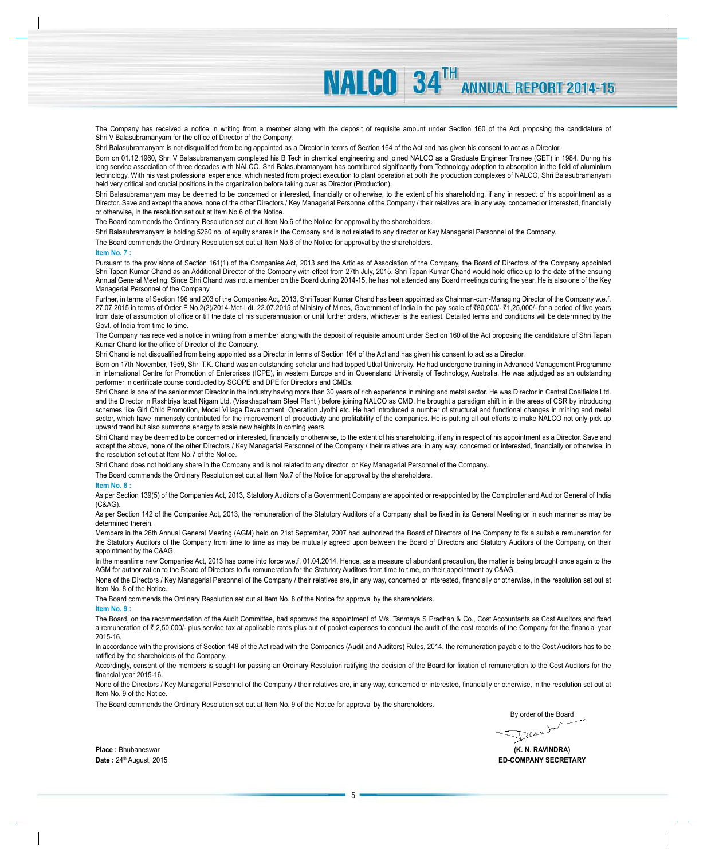The Company has received a notice in writing from a member along with the deposit of requisite amount under Section 160 of the Act proposing the candidature of Shri V Balasubramanyam for the office of Director of the Company.

**NAICO 34TH** 

Shri Balasubramanyam is not disqualified from being appointed as a Director in terms of Section 164 of the Act and has given his consent to act as a Director.

Born on 01.12.1960, Shri V Balasubramanyam completed his B Tech in chemical engineering and joined NALCO as a Graduate Engineer Trainee (GET) in 1984. During his long service association of three decades with NALCO, Shri Balasubramanyam has contributed significantly from Technology adoption to absorption in the field of aluminium technology. With his vast professional experience, which nested from project execution to plant operation at both the production complexes of NALCO, Shri Balasubramanyam held very critical and crucial positions in the organization before taking over as Director (Production).

Shri Balasubramanyam may be deemed to be concerned or interested, financially or otherwise, to the extent of his shareholding, if any in respect of his appointment as a Director. Save and except the above, none of the other Directors / Key Managerial Personnel of the Company / their relatives are, in any way, concerned or interested, financially or otherwise, in the resolution set out at Item No.6 of the Notice.

The Board commends the Ordinary Resolution set out at Item No.6 of the Notice for approval by the shareholders.

Shri Balasubramanyam is holding 5260 no. of equity shares in the Company and is not related to any director or Key Managerial Personnel of the Company.

The Board commends the Ordinary Resolution set out at Item No.6 of the Notice for approval by the shareholders.

#### **Item No. 7 :**

Pursuant to the provisions of Section 161(1) of the Companies Act, 2013 and the Articles of Association of the Company, the Board of Directors of the Company appointed Shri Tapan Kumar Chand as an Additional Director of the Company with effect from 27th July, 2015. Shri Tapan Kumar Chand would hold office up to the date of the ensuing Annual General Meeting. Since Shri Chand was not a member on the Board during 2014-15, he has not attended any Board meetings during the year. He is also one of the Key Managerial Personnel of the Company.

Further, in terms of Section 196 and 203 of the Companies Act, 2013, Shri Tapan Kumar Chand has been appointed as Chairman-cum-Managing Director of the Company w.e.f. 27.07.2015 in terms of Order F No.2(2)/2014-Met-I dt. 22.07.2015 of Ministry of Mines, Government of India in the pay scale of ₹80,000/- ₹1,25,000/- for a period of five years from date of assumption of office or till the date of his superannuation or until further orders, whichever is the earliest. Detailed terms and conditions will be determined by the Govt. of India from time to time.

The Company has received a notice in writing from a member along with the deposit of requisite amount under Section 160 of the Act proposing the candidature of Shri Tapan Kumar Chand for the office of Director of the Company.

Shri Chand is not disqualified from being appointed as a Director in terms of Section 164 of the Act and has given his consent to act as a Director.

Born on 17th November, 1959, Shri T.K. Chand was an outstanding scholar and had topped Utkal University. He had undergone training in Advanced Management Programme in International Centre for Promotion of Enterprises (ICPE), in western Europe and in Queensland University of Technology, Australia. He was adjudged as an outstanding performer in certificate course conducted by SCOPE and DPE for Directors and CMDs.

Shri Chand is one of the senior most Director in the industry having more than 30 years of rich experience in mining and metal sector. He was Director in Central Coalfields Ltd. and the Director in Rashtriya Ispat Nigam Ltd. (Visakhapatnam Steel Plant ) before joining NALCO as CMD. He brought a paradigm shift in in the areas of CSR by introducing schemes like Girl Child Promotion, Model Village Development, Operation Jyothi etc. He had introduced a number of structural and functional changes in mining and metal sector, which have immensely contributed for the improvement of productivity and profitability of the companies. He is putting all out efforts to make NALCO not only pick up upward trend but also summons energy to scale new heights in coming years.

Shri Chand may be deemed to be concerned or interested, financially or otherwise, to the extent of his shareholding, if any in respect of his appointment as a Director. Save and except the above, none of the other Directors / Key Managerial Personnel of the Company / their relatives are, in any way, concerned or interested, financially or otherwise, in the resolution set out at Item No.7 of the Notice.

Shri Chand does not hold any share in the Company and is not related to any director or Key Managerial Personnel of the Company..

The Board commends the Ordinary Resolution set out at Item No.7 of the Notice for approval by the shareholders.

#### **Item No. 8 :**

As per Section 139(5) of the Companies Act, 2013, Statutory Auditors of a Government Company are appointed or re-appointed by the Comptroller and Auditor General of India (C&AG).

As per Section 142 of the Companies Act, 2013, the remuneration of the Statutory Auditors of a Company shall be fixed in its General Meeting or in such manner as may be determined therein.

Members in the 26th Annual General Meeting (AGM) held on 21st September, 2007 had authorized the Board of Directors of the Company to fix a suitable remuneration for the Statutory Auditors of the Company from time to time as may be mutually agreed upon between the Board of Directors and Statutory Auditors of the Company, on their appointment by the C&AG.

In the meantime new Companies Act, 2013 has come into force w.e.f. 01.04.2014. Hence, as a measure of abundant precaution, the matter is being brought once again to the AGM for authorization to the Board of Directors to fix remuneration for the Statutory Auditors from time to time, on their appointment by C&AG.

None of the Directors / Key Managerial Personnel of the Company / their relatives are, in any way, concerned or interested, financially or otherwise, in the resolution set out at Item No. 8 of the Notice.

The Board commends the Ordinary Resolution set out at Item No. 8 of the Notice for approval by the shareholders.

### **Item No. 9 :**

The Board, on the recommendation of the Audit Committee, had approved the appointment of M/s. Tanmaya S Pradhan & Co., Cost Accountants as Cost Auditors and fixed a remuneration of ₹ 2,50,000/- plus service tax at applicable rates plus out of pocket expenses to conduct the audit of the cost records of the Company for the financial year 2015-16.

In accordance with the provisions of Section 148 of the Act read with the Companies (Audit and Auditors) Rules, 2014, the remuneration payable to the Cost Auditors has to be ratified by the shareholders of the Company.

Accordingly, consent of the members is sought for passing an Ordinary Resolution ratifying the decision of the Board for fixation of remuneration to the Cost Auditors for the financial year 2015-16.

None of the Directors / Key Managerial Personnel of the Company / their relatives are, in any way, concerned or interested, financially or otherwise, in the resolution set out at Item No. 9 of the Notice.

The Board commends the Ordinary Resolution set out at Item No. 9 of the Notice for approval by the shareholders.

By order of the Board

 $200$ 

**Place :** Bhubaneswar **(K. N. RAVINDRA) Date :** 24th August, 2015 **ED-COMPANY SECRETARY**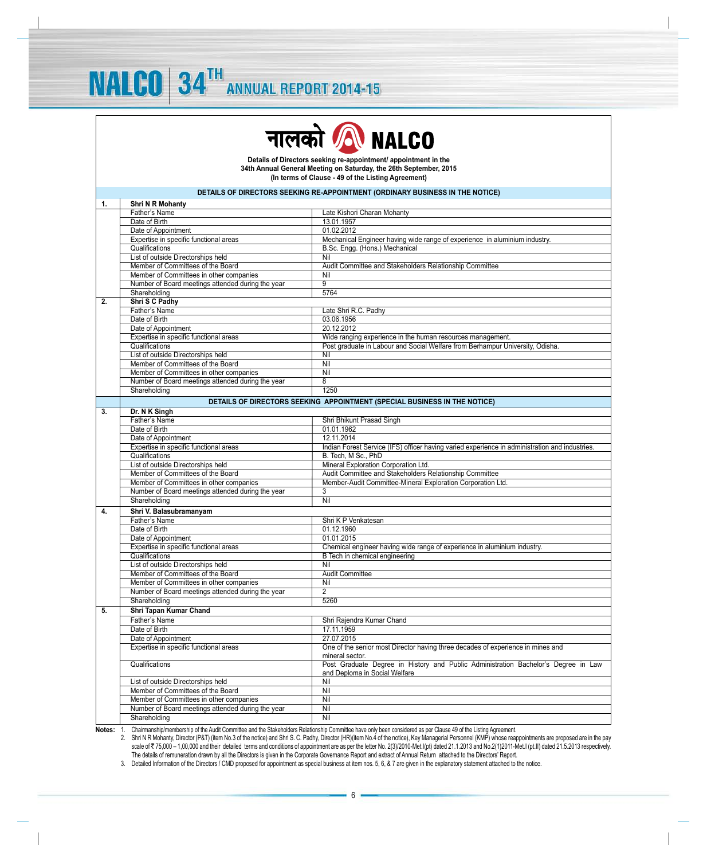**NALCO 34TH** 



**Details of Directors seeking re-appointment/ appointment in the 34th Annual General Meeting on Saturday, the 26th September, 2015 (In terms of Clause - 49 of the Listing Agreement)**

# **DETAILS OF DIRECTORS SEEKING RE-APPOINTMENT (ORDINARY BUSINESS IN THE NOTICE)**

| 1. | <b>Shri N R Mohanty</b>                           |                                                                                                                     |
|----|---------------------------------------------------|---------------------------------------------------------------------------------------------------------------------|
|    | Father's Name                                     | Late Kishori Charan Mohanty                                                                                         |
|    | Date of Birth                                     | 13.01.1957                                                                                                          |
|    | Date of Appointment                               | 01.02.2012                                                                                                          |
|    | Expertise in specific functional areas            | Mechanical Engineer having wide range of experience in aluminium industry.                                          |
|    | Qualifications                                    | B.Sc. Engg. (Hons.) Mechanical                                                                                      |
|    | List of outside Directorships held                | Nil                                                                                                                 |
|    | Member of Committees of the Board                 | Audit Committee and Stakeholders Relationship Committee                                                             |
|    | Member of Committees in other companies           | Nil                                                                                                                 |
|    | Number of Board meetings attended during the year | $\overline{9}$                                                                                                      |
|    | Shareholding                                      | 5764                                                                                                                |
| 2. | Shri S C Padhy                                    |                                                                                                                     |
|    | Father's Name                                     | Late Shri R.C. Padhy                                                                                                |
|    | Date of Birth                                     | 03.06.1956                                                                                                          |
|    | Date of Appointment                               | 20.12.2012                                                                                                          |
|    | Expertise in specific functional areas            | Wide ranging experience in the human resources management.                                                          |
|    | Qualifications                                    | Post graduate in Labour and Social Welfare from Berhampur University, Odisha.                                       |
|    | List of outside Directorships held                | Nil                                                                                                                 |
|    | Member of Committees of the Board                 | Nil                                                                                                                 |
|    | Member of Committees in other companies           | Nil                                                                                                                 |
|    | Number of Board meetings attended during the year | $\overline{8}$                                                                                                      |
|    | Shareholding                                      | 1250                                                                                                                |
|    |                                                   |                                                                                                                     |
|    |                                                   | DETAILS OF DIRECTORS SEEKING APPOINTMENT (SPECIAL BUSINESS IN THE NOTICE)                                           |
| 3. | Dr. N K Singh                                     |                                                                                                                     |
|    | Father's Name                                     | Shri Bhikunt Prasad Singh                                                                                           |
|    | Date of Birth                                     | 01.01.1962                                                                                                          |
|    | Date of Appointment                               | 12.11.2014                                                                                                          |
|    | Expertise in specific functional areas            | Indian Forest Service (IFS) officer having varied experience in administration and industries.                      |
|    | Qualifications                                    | B. Tech, M Sc., PhD                                                                                                 |
|    | List of outside Directorships held                | Mineral Exploration Corporation Ltd.                                                                                |
|    | Member of Committees of the Board                 | Audit Committee and Stakeholders Relationship Committee                                                             |
|    | Member of Committees in other companies           | Member-Audit Committee-Mineral Exploration Corporation Ltd.                                                         |
|    | Number of Board meetings attended during the year | 3                                                                                                                   |
|    | Shareholding                                      | Nil                                                                                                                 |
| 4. | Shri V. Balasubramanyam                           |                                                                                                                     |
|    | Father's Name                                     | Shri K P Venkatesan                                                                                                 |
|    | Date of Birth                                     | 01.12.1960                                                                                                          |
|    | Date of Appointment                               | 01.01.2015                                                                                                          |
|    | Expertise in specific functional areas            | Chemical engineer having wide range of experience in aluminium industry.                                            |
|    | Qualifications                                    | B Tech in chemical engineering                                                                                      |
|    | List of outside Directorships held                | Nil                                                                                                                 |
|    | Member of Committees of the Board                 | <b>Audit Committee</b>                                                                                              |
|    | Member of Committees in other companies           | Nil                                                                                                                 |
|    | Number of Board meetings attended during the year | $\overline{2}$                                                                                                      |
|    | Shareholding                                      | 5260                                                                                                                |
| 5. | Shri Tapan Kumar Chand                            |                                                                                                                     |
|    | Father's Name                                     | Shri Rajendra Kumar Chand                                                                                           |
|    | Date of Birth                                     | 17.11.1959                                                                                                          |
|    |                                                   |                                                                                                                     |
|    | Date of Appointment                               | 27.07.2015                                                                                                          |
|    | Expertise in specific functional areas            | One of the senior most Director having three decades of experience in mines and<br>mineral sector.                  |
|    | Qualifications                                    | Post Graduate Degree in History and Public Administration Bachelor's Degree in Law<br>and Deploma in Social Welfare |
|    | List of outside Directorships held                | Nil                                                                                                                 |
|    | Member of Committees of the Board                 | Nil                                                                                                                 |
|    | Member of Committees in other companies           | Nil                                                                                                                 |
|    | Number of Board meetings attended during the year | Nil                                                                                                                 |
|    | Shareholding                                      | Nil                                                                                                                 |
|    |                                                   |                                                                                                                     |

**Notes:** 1. Chairmanship/membership of the Audit Committee and the Stakeholders Relationship Committee have only been considered as per Clause 49 of the Listing Agreement.

2. Shri N R Mohanty, Director (P&T) (item No.3 of the notice) and Shri S. C. Padhy, Director (HR)(item No.4 of the notice), Key Managerial Personnel (KMP) whose reappointments are proposed are in the pay<br>Scale of ₹ 75,000 The details of remuneration drawn by all the Directors is given in the Corporate Governance Report and extract of Annual Return attached to the Directors' Report.

3. Detailed Information of the Directors / CMD proposed for appointment as special business at item nos. 5, 6, & 7 are given in the explanatory statement attached to the notice.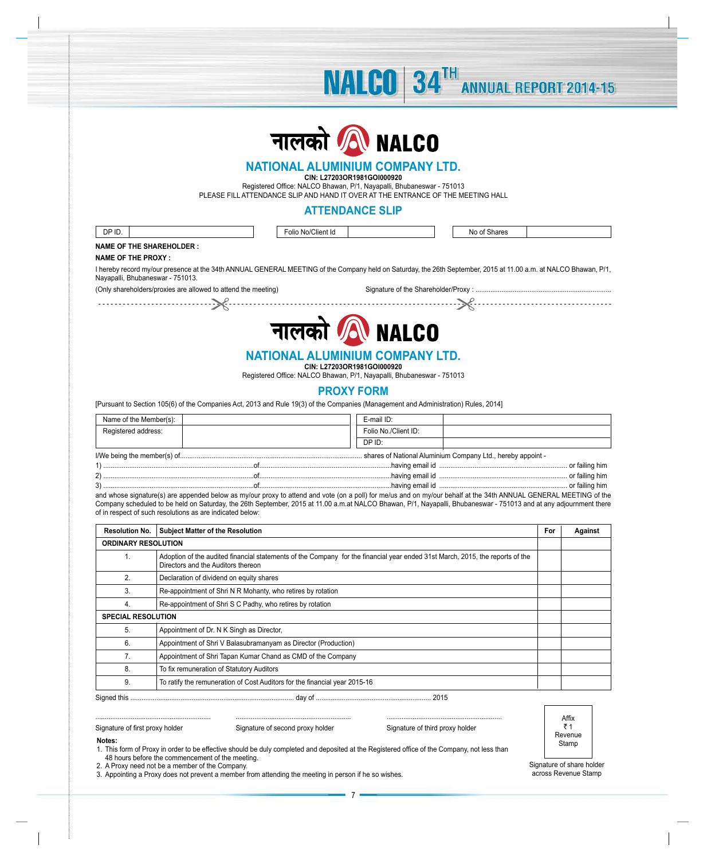

**NALCO** 34TH

**ANNUAL REPORT 2014-15** 

# **NATIONAL ALUMINIUM COMPANY LTD.**

**CIN: L27203OR1981GOI000920**

Registered Office: NALCO Bhawan, P/1, Nayapalli, Bhubaneswar - 751013 PLEASE FILL ATTENDANCE SLIP AND HAND IT OVER AT THE ENTRANCE OF THE MEETING HALL

# **ATTENDANCE SLIP**

| DP ID.                                                                                                                                                                                               | Folio No/Client Id | No of Shares |  |
|------------------------------------------------------------------------------------------------------------------------------------------------------------------------------------------------------|--------------------|--------------|--|
| <b>NAME OF THE SHAREHOLDER :</b>                                                                                                                                                                     |                    |              |  |
| NAME OF THE PROXY:                                                                                                                                                                                   |                    |              |  |
| I hereby record my/our presence at the 34th ANNUAL GENERAL MEETING of the Company held on Saturday, the 26th September, 2015 at 11.00 a.m. at NALCO Bhawan, P/1.<br>Nayapalli, Bhubaneswar - 751013. |                    |              |  |
| (Only shareholders/proxies are allowed to attend the meeting)                                                                                                                                        |                    |              |  |



# **NATIONAL ALUMINIUM COMPANY LTD. CIN: L27203OR1981GOI000920**

Registered Office: NALCO Bhawan, P/1, Nayapalli, Bhubaneswar - 751013

# **PROXY FORM**

[Pursuant to Section 105(6) of the Companies Act, 2013 and Rule 19(3) of the Companies (Management and Administration) Rules, 2014]

| Name of the Member(s): | E-mail ID:           |  |  |
|------------------------|----------------------|--|--|
| Registered address:    | Folio No./Client ID: |  |  |
|                        | DP ID:               |  |  |
|                        |                      |  |  |
|                        | . or failing him     |  |  |

2) .................................................................................of.......................................................................having email id ..................................................................... or failing him 3) .................................................................................of.......................................................................having email id ..................................................................... or failing him and whose signature(s) are appended below as my/our proxy to attend and vote (on a poll) for me/us and on my/our behalf at the 34th ANNUAL GENERAL MEETING of the

Company scheduled to be held on Saturday, the 26th September, 2015 at 11.00 a.m.at NALCO Bhawan, P/1, Nayapalli, Bhubaneswar - 751013 and at any adjournment there of in respect of such resolutions as are indicated below:

| <b>Resolution No.</b>      | <b>Subject Matter of the Resolution</b>                                                                                                                             | For | Against |
|----------------------------|---------------------------------------------------------------------------------------------------------------------------------------------------------------------|-----|---------|
| <b>ORDINARY RESOLUTION</b> |                                                                                                                                                                     |     |         |
|                            | Adoption of the audited financial statements of the Company for the financial year ended 31st March, 2015, the reports of the<br>Directors and the Auditors thereon |     |         |
| 2.                         | Declaration of dividend on equity shares                                                                                                                            |     |         |
| 3.                         | Re-appointment of Shri N R Mohanty, who retires by rotation                                                                                                         |     |         |
| 4.                         | Re-appointment of Shri S C Padhy, who retires by rotation                                                                                                           |     |         |
| <b>SPECIAL RESOLUTION</b>  |                                                                                                                                                                     |     |         |
| 5.                         | Appointment of Dr. N K Singh as Director,                                                                                                                           |     |         |
| 6.                         | Appointment of Shri V Balasubramanyam as Director (Production)                                                                                                      |     |         |
| 7.                         | Appointment of Shri Tapan Kumar Chand as CMD of the Company                                                                                                         |     |         |
| 8.                         | To fix remuneration of Statutory Auditors                                                                                                                           |     |         |
| 9.                         | To ratify the remuneration of Cost Auditors for the financial year 2015-16                                                                                          |     |         |
|                            |                                                                                                                                                                     |     |         |

Signature of first proxy holder

**Notes:**

..............................................................

| Signature of second proxy holder |  |  |  |  |
|----------------------------------|--|--|--|--|
|----------------------------------|--|--|--|--|

Signature of third proxy holder

..............................................................

Affix ₹1 Revenue Stamp

1. This form of Proxy in order to be effective should be duly completed and deposited at the Registered office of the Company, not less than 48 hours before the commencement of the meeting.

..............................................................

2. A Proxy need not be a member of the Company.

3. Appointing a Proxy does not prevent a member from attending the meeting in person if he so wishes.

Signature of share holder across Revenue Stamp

7